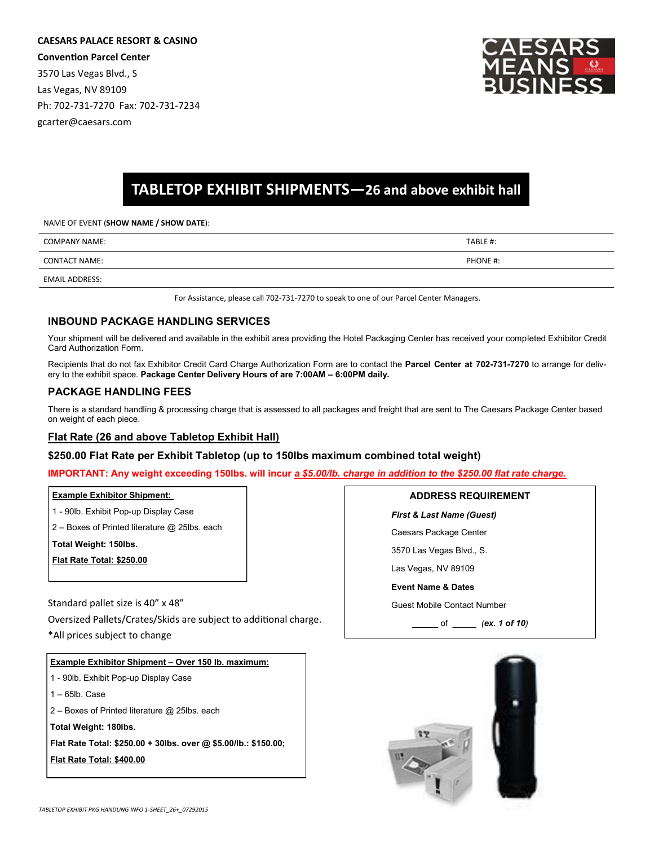**CAESARS PALACE RESORT & CASINO Convention Parcel Center** 3570 Las Vegas Blvd., S Las Vegas, NV 89109 Ph: 702-731-7270 Fax: 702-731-7234 gcarter@caesars.com



## **TABLETOP EXHIBIT SHIPMENTS—26 and above exhibit hall**

NAME OF EVENT (**SHOW NAME / SHOW DATE**):

| <b>COMPANY NAME:</b>  | TABLE #: |
|-----------------------|----------|
| <b>CONTACT NAME:</b>  | PHONE #: |
| <b>EMAIL ADDRESS:</b> |          |

For Assistance, please call 702-731-7270 to speak to one of our Parcel Center Managers.

#### **INBOUND PACKAGE HANDLING SERVICES**

Your shipment will be delivered and available in the exhibit area providing the Hotel Packaging Center has received your completed Exhibitor Credit Card Authorization Form.

Recipients that do not fax Exhibitor Credit Card Charge Authorization Form are to contact the **Parcel Center at 702-731-7270** to arrange for delivery to the exhibit space. **Package Center Delivery Hours of are 7:00AM – 6:00PM daily.**

### **PACKAGE HANDLING FEES**

There is a standard handling & processing charge that is assessed to all packages and freight that are sent to The Caesars Package Center based on weight of each piece.

#### **Flat Rate (26 and above Tabletop Exhibit Hall)**

### **\$250.00 Flat Rate per Exhibit Tabletop (up to 150lbs maximum combined total weight)**

**IMPORTANT: Any weight exceeding 150lbs. will incur** *a \$5.00/lb. charge in addition to the \$250.00 flat rate charge.*

#### **Example Exhibitor Shipment:**

- 1 90lb. Exhibit Pop-up Display Case
- 2 Boxes of Printed literature @ 25lbs. each

#### **Total Weight: 150lbs.**

**Flat Rate Total: \$250.00**

Standard pallet size is 40" x 48"

Oversized Pallets/Crates/Skids are subject to additional charge.

\*All prices subject to change

| <b>Example Exhibitor Shipment - Over 150 lb. maximum:</b> |  |  |
|-----------------------------------------------------------|--|--|
| 1 - 90lb. Exhibit Pop-up Display Case                     |  |  |
| $1 - 65$ lb. Case                                         |  |  |
| $2 -$ Boxes of Printed literature @ 25lbs. each           |  |  |

**Total Weight: 180lbs.** 

**Flat Rate Total: \$250.00 + 30lbs. over @ \$5.00/lb.: \$150.00;** 

**Flat Rate Total: \$400.00**

### **ADDRESS REQUIREMENT**

*First & Last Name (Guest)* Caesars Package Center

3570 Las Vegas Blvd., S.

Las Vegas, NV 89109

#### **Event Name & Dates**

Guest Mobile Contact Number

\_\_\_\_\_ of \_\_\_\_\_ *(ex. 1 of 10)*

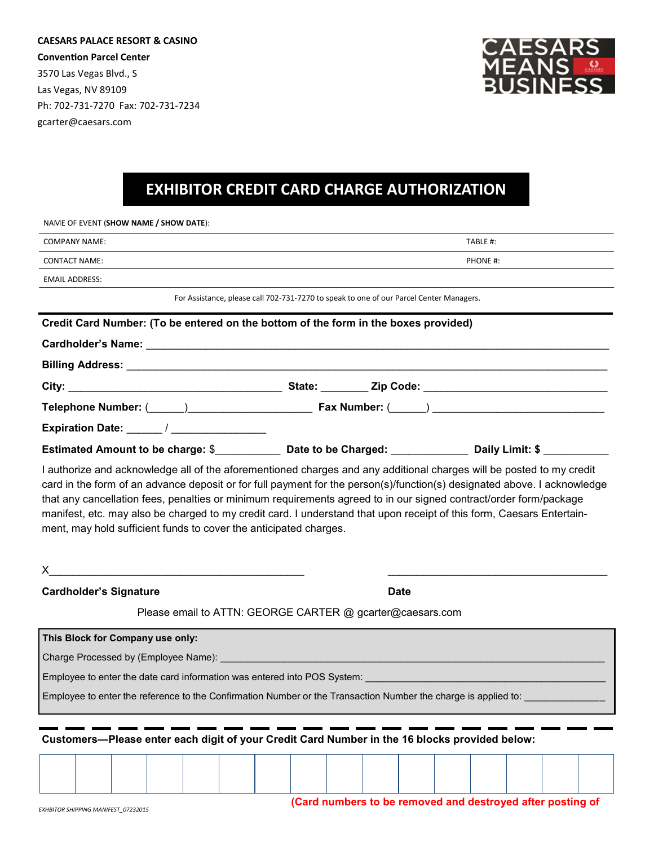**CAESARS PALACE RESORT & CASINO Convention Parcel Center** 3570 Las Vegas Blvd., S Las Vegas, NV 89109 Ph: 702-731-7270 Fax: 702-731-7234 gcarter@caesars.com



# **EXHIBITOR CREDIT CARD CHARGE AUTHORIZATION**

NAME OF EVENT (**SHOW NAME / SHOW DATE**):

| <b>COMPANY NAME:</b>                                                                                                                                                                                                                                                                                                                                                                                                                                                                                                                             | TABLE #:                                                                                                        |  |  |  |
|--------------------------------------------------------------------------------------------------------------------------------------------------------------------------------------------------------------------------------------------------------------------------------------------------------------------------------------------------------------------------------------------------------------------------------------------------------------------------------------------------------------------------------------------------|-----------------------------------------------------------------------------------------------------------------|--|--|--|
| <b>CONTACT NAME:</b>                                                                                                                                                                                                                                                                                                                                                                                                                                                                                                                             | PHONE #:                                                                                                        |  |  |  |
| <b>EMAIL ADDRESS:</b>                                                                                                                                                                                                                                                                                                                                                                                                                                                                                                                            |                                                                                                                 |  |  |  |
| For Assistance, please call 702-731-7270 to speak to one of our Parcel Center Managers.                                                                                                                                                                                                                                                                                                                                                                                                                                                          |                                                                                                                 |  |  |  |
| Credit Card Number: (To be entered on the bottom of the form in the boxes provided)                                                                                                                                                                                                                                                                                                                                                                                                                                                              |                                                                                                                 |  |  |  |
|                                                                                                                                                                                                                                                                                                                                                                                                                                                                                                                                                  |                                                                                                                 |  |  |  |
|                                                                                                                                                                                                                                                                                                                                                                                                                                                                                                                                                  |                                                                                                                 |  |  |  |
|                                                                                                                                                                                                                                                                                                                                                                                                                                                                                                                                                  |                                                                                                                 |  |  |  |
|                                                                                                                                                                                                                                                                                                                                                                                                                                                                                                                                                  |                                                                                                                 |  |  |  |
| Expiration Date: _____/ _________________                                                                                                                                                                                                                                                                                                                                                                                                                                                                                                        |                                                                                                                 |  |  |  |
| Estimated Amount to be charge: \$______________ Date to be Charged: ______________ Daily Limit: \$ __________                                                                                                                                                                                                                                                                                                                                                                                                                                    |                                                                                                                 |  |  |  |
| that any cancellation fees, penalties or minimum requirements agreed to in our signed contract/order form/package<br>manifest, etc. may also be charged to my credit card. I understand that upon receipt of this form, Caesars Entertain-<br>ment, may hold sufficient funds to cover the anticipated charges.<br>$X$ and $X$ and $X$ and $X$ and $X$ and $X$ and $X$ and $X$ and $X$ and $X$ and $X$ and $X$ and $X$ and $X$ and $X$ and $X$ and $X$ and $X$ and $X$ and $X$ and $X$ and $X$ and $X$ and $X$ and $X$ and $X$ and $X$ and $X$ a |                                                                                                                 |  |  |  |
| <b>Cardholder's Signature</b>                                                                                                                                                                                                                                                                                                                                                                                                                                                                                                                    | <b>Date</b>                                                                                                     |  |  |  |
| Please email to ATTN: GEORGE CARTER @ gcarter@caesars.com                                                                                                                                                                                                                                                                                                                                                                                                                                                                                        |                                                                                                                 |  |  |  |
| This Block for Company use only:                                                                                                                                                                                                                                                                                                                                                                                                                                                                                                                 |                                                                                                                 |  |  |  |
|                                                                                                                                                                                                                                                                                                                                                                                                                                                                                                                                                  |                                                                                                                 |  |  |  |
|                                                                                                                                                                                                                                                                                                                                                                                                                                                                                                                                                  | Charge Processed by (Employee Name): Management and the control of the control of the control of the control of |  |  |  |
|                                                                                                                                                                                                                                                                                                                                                                                                                                                                                                                                                  |                                                                                                                 |  |  |  |
| Employee to enter the reference to the Confirmation Number or the Transaction Number the charge is applied to: __________                                                                                                                                                                                                                                                                                                                                                                                                                        |                                                                                                                 |  |  |  |